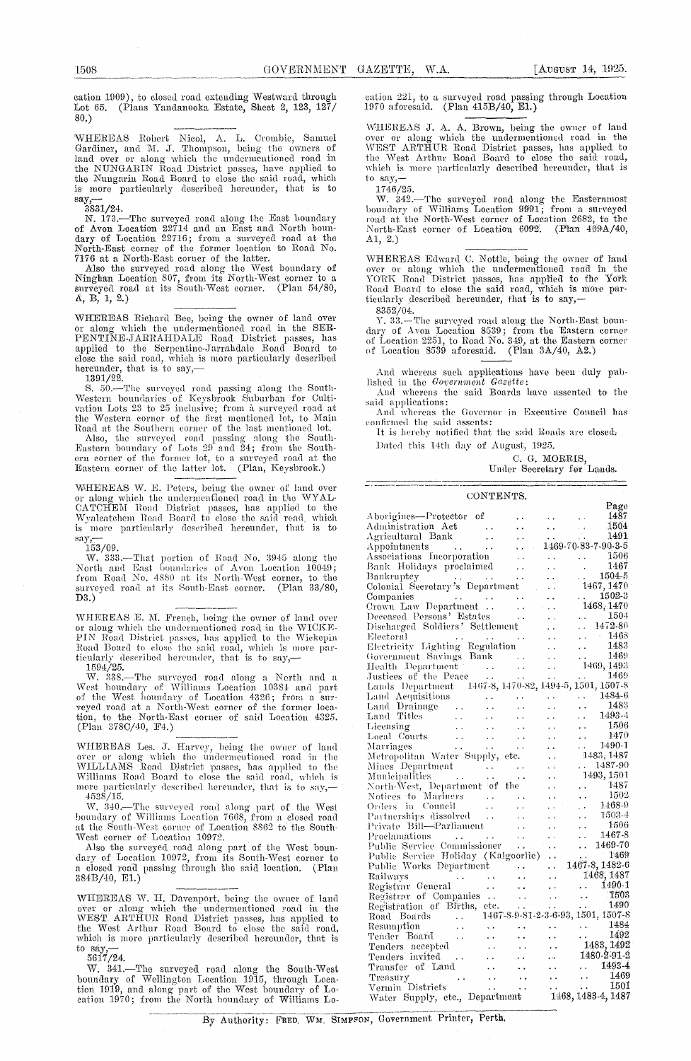cation 1909), to closed road extending Westward through Lot 65. (Plans Yandanooka Estate, Sheet 2, 123, 127/ 80,)

`WHEREAS Robert Nicol, A. L. Crombie, Samuel Gardiner, and N. J. Thompson, being the owners of land over or along which the undermentioned road in the NUNGARIN Road District passes, have applied to the Nungarin Road Board to close the said road, which is more particularly described hereunder, that is to

 $3831/24.$ 

N. 173.—The surveyed road along the East boundary of Avon Location 22714 and an East and North boun-dary of Location 22716; from a surveyed road at the North-East corner of the former location to Road No. 7176 at a North-East corner of the latter.

Also the surveyed road along the West boundary of Ninghan Location 807, from its North-West corner to a surveyed road at its South-West corner. (Plan 54/80, A, B, 1, 2.)

WHEREAS Richard Bee, being the owner of land over or along which the undermentioned road in the SER-PENTINE-JARRATIDALE -Road District passes, has applied to the Serpentine-Jarrandale Road Board to close the said road, which is more particularly described hereunder, that is to say,—1391/22.

S. 50.--The surveyed road passing along the South-Western boundaries of Keysbrook Suburban for Cultivation Lots 23 to 25 inclusive; from a surveyed road at the Western corner of the first mentioned lot., to Main Road at the Southern corner of the last mentioned lot.

Also, the surveyed road passing along the South-Eastern boundary of Lots 29 and 24; from the Southcrn corner of the former lot, to a surveyed road at the Eastern corner of the latter lot. (Plan, Keysbrook.)

WHEREAS W. E. Peters, being the owner of land over or along which the undermenfioned road in the WYAL-CATC11EM Road District passes, has applied to the Wyalcatchem Road Board to close the said road, which<br>is more particularly described hereunder, that is to<br>say,-

 $\frac{\text{say}}{153/09}$ .

W. 333.—That portion of Road No. 3945 along the North and East boundaries of Avon Location  $1\bar{0}049$ ; from Road No. 4880 at its North-West corner, to the surveyed road at its South-East corner. (Plan 33/80, D3.)

WHEREAS E. M. French, being the owner of land over or along which the undermentioned road in the WICKE-PIN Road District passes, has applied to the Wickepin Road Board to close the said road, which is more par-<br>ticularly described hereunder, that is to say,—

1594/25. W. 33S.—The surveyed road along a. March anti a West boundary of Williams Location 10381 and part of the West boundary of Location 4326; from a surveyed road at a North-West corner of the former loca-tion, to the North-East corner of said Location 4825. (Plan 378C/40, P4.)

WHEREAS Les. J. Harvey, being the owner of land over or along which the undermentioned road in the WILLIAMS Road District passes, has applied to the Williams Road Board to close the said road, which is<br>more particularly described hereunder, that is to say,—<br>4538/15.

W. 340.—The surveyed road along part of the West boundary of Williams Location 7668, from a closed road at the South-West corner of Location 8862 to the South-West corner of Location 10972.

Also the surveyed road along part of the West boundary of Location 1.0972, from its South-West corner to a closed roach passing through the said location. (Plan 384B/40, El.)

WHEREAS W. H. Davenport, being the owner of land over or along which the undermentioned road in the WEST ARTHUR Road District passes, has applied to the West Arthur Road Board to close the said road, which is more particularly described hereunder, that is  $\frac{1}{6617/24}$ 

W. 341.—The surveyed road along the South-West boundary of Wellington Location 1915, through Location 1919, and along part of the West boundary of Location 1970; from the North boundary of Williams Location 221, to a surveyed road passing through Location 1970 aforesaid. (Plan 415B/40, El.)

WHEREAS J. A. A. Brown, being the owner of land over or along which the undermentioncil road in the WEST ARTHUR Road District passes, has applied to<br>the West Arthur Road Board to close the said road, which is more particularly described hereunder, that is to say,-

1746/25.

W. 342.—The surveyed road along the Easternmost boundary of Williams Location 9991.; from a surveyed road at the North-West corner of Location 2682, to the<br>North-East corner of Location 6092. (Plan 409A/40, North-East corner of Location 6092. Al, 2.)

WHEREAS Edward C. Nottle, being the owner of land over or along which the undermentioned road in the YORK Road District passes, has applied to the York<br>Road Board to close the said road, which is more par-<br>ticularly described hereunder, that is to say,—

8352/04. Y. 33.—The surveyed road along the North-East bonn-clary of. Avon Location 8539; from, the Eastern corner of Location 2251, to Road No. 3,49, at the Eastern corner of Location 8539 aforesaid. (Plan 3A/40, A2.)

## CONTENTS.

| And whereas such applications have been duly pub-                                                                                        |                              |                                                  |                                                               |                                                                     |
|------------------------------------------------------------------------------------------------------------------------------------------|------------------------------|--------------------------------------------------|---------------------------------------------------------------|---------------------------------------------------------------------|
| lished in the Government Gazette:                                                                                                        |                              |                                                  |                                                               |                                                                     |
| And whereas the said Boards have assented to the                                                                                         |                              |                                                  |                                                               |                                                                     |
| said applications:                                                                                                                       |                              |                                                  |                                                               |                                                                     |
| And whereas the Governor in Executive Council has                                                                                        |                              |                                                  |                                                               |                                                                     |
| confirmed the said assents:                                                                                                              |                              |                                                  |                                                               |                                                                     |
| It is hereby notified that the said Roads are closed.                                                                                    |                              |                                                  |                                                               |                                                                     |
| Dated this 14th day of August, 1925.                                                                                                     |                              |                                                  |                                                               |                                                                     |
|                                                                                                                                          |                              |                                                  | C. G. MORRIS,                                                 |                                                                     |
|                                                                                                                                          |                              |                                                  |                                                               | Under Secretary for Lands.                                          |
|                                                                                                                                          |                              |                                                  |                                                               |                                                                     |
|                                                                                                                                          |                              | CONTENTS.                                        |                                                               |                                                                     |
|                                                                                                                                          |                              |                                                  |                                                               | Page                                                                |
| Aborigines—Protector of                                                                                                                  |                              | $\ddot{\phantom{1}}$                             | <b>Carl Contract</b>                                          | 1487                                                                |
|                                                                                                                                          |                              |                                                  | $\sim$ $\sim$                                                 | 1504                                                                |
|                                                                                                                                          |                              | i.                                               | $\sim$                                                        | 1491                                                                |
| Administration Act<br>Agricultural Bank<br>Appointments                                                                                  |                              | i.                                               |                                                               | $1469 - 70 - 83 - 7 - 90 - 3 - 5$                                   |
| Associations Incorporation                                                                                                               |                              | $\sim$ $\sim$                                    |                                                               | $\begin{array}{ccc}\n & 1506 \\  & 1467 \\  & 1504-5\n\end{array}$  |
| Bank Holidays proclaimed                                                                                                                 |                              | $\ddot{\phantom{1}}$                             | $\sim 10^{-11}$                                               |                                                                     |
| Bankruptcy<br>Bankruptcy<br>Colonial Secretary's Department                                                                              |                              |                                                  | $\sim 10^{-1}$                                                |                                                                     |
|                                                                                                                                          |                              |                                                  | $\bullet$ . $\bullet$                                         | 1467, 1470<br>$\ldots$ 1502-3                                       |
| Companies<br>$\sim$ $\sim$<br>Crown Law Department                                                                                       | $\sim 100$ km $^{-2}$        | $\sim$ $\sim$ $\sim$                             | $\sim$ $\sim$                                                 | 1468,1470                                                           |
| Deceased Persons' Estates                                                                                                                |                              | $\sim$ $\sim$<br>$\sim 10^{11}$ km $^{-2}$       | <b>Contract</b>                                               |                                                                     |
| Discharged Soldiers' Settlement                                                                                                          |                              |                                                  | $\epsilon$ , $\epsilon$<br>$\mathbf{r} \leftarrow \mathbf{r}$ | $\frac{1504}{1472.80}$                                              |
| Electoral                                                                                                                                |                              | $\rightarrow$                                    | $\sim$ $\sim$                                                 |                                                                     |
| Electricity Lighting Regulation                                                                                                          |                              |                                                  | $\sim 10^{-1}$                                                | $\frac{1468}{1483}$<br>$\sim 10^{-1}$                               |
| Government Savings Bank                                                                                                                  |                              |                                                  |                                                               | $\mathcal{L}_{\text{max}}$<br>1469                                  |
|                                                                                                                                          |                              |                                                  |                                                               | 1469, 1493                                                          |
| Novemment Savings Bank<br>Health Department<br>Justices of the Peace<br>Lands Department (102.0 100.00 100.00)                           |                              |                                                  |                                                               | $\ldots$ 1469                                                       |
| Lands Department 1467-8, 1470-82, 1494-5, 1501, 1507-8                                                                                   |                              |                                                  |                                                               |                                                                     |
| Land Aequisitions<br>Land Drainage<br>Land Titles<br>Licensing<br>Cocal Courts<br>Merciages<br>Merciages<br>Merciages                    | <b>Contract Contract</b>     |                                                  |                                                               | $\ldots$ 1484-6<br>1483                                             |
|                                                                                                                                          | $\ddot{\phantom{a}}$         |                                                  |                                                               | $\frac{1}{1 + \frac{1}{2}}$<br>1493-4                               |
|                                                                                                                                          | $\sim 10^{-1}$<br>$\sim 100$ | $\ddot{\phantom{0}}$<br>$\sim$                   | $\ddot{\phantom{a}}$<br>$\cdot$ .                             | 1506<br>$\epsilon$ .                                                |
|                                                                                                                                          | $\ddot{\phantom{1}}$         | $\epsilon$ .                                     | $\ddot{\phantom{1}}$                                          | $-1470$                                                             |
| Marriages                                                                                                                                |                              | $\ddotsc$                                        | $\ddot{\phantom{0}}$                                          | $\frac{1470}{1490}$                                                 |
| Metropolitan Water Supply, etc.                                                                                                          |                              |                                                  | $\ddot{\phantom{a}}$                                          | 1483, 1487                                                          |
| Mines Department<br>Municipalities                                                                                                       |                              |                                                  |                                                               | $. 1487 - 90$                                                       |
|                                                                                                                                          |                              | $\sim$ $\sim$                                    |                                                               | 1493, 1501                                                          |
| North-West, Department of the<br>Notices to Mariners                                                                                     |                              |                                                  | μ.                                                            | $\frac{148}{1502}$                                                  |
|                                                                                                                                          | $\alpha$ , $\beta$ , and     | $\sim$ $\sim$                                    |                                                               |                                                                     |
| Orders in Council                                                                                                                        | $\sim$ $\sim$                | $\epsilon$ .                                     | $\ddot{\phantom{1}}$                                          | 1468-9<br>$\sim$ $\sim$                                             |
| Partnerships dissolved<br>Private Bill—Parliament                                                                                        |                              | $\sim$                                           |                                                               | 1503-4<br>$\sim 10^{-1}$<br>- 1506                                  |
| Proclamations .                                                                                                                          |                              | $\ddot{\phantom{a}}$ .<br>$\ddot{\phantom{1}}$ . |                                                               | $\ddot{\phantom{a}}$<br>$1467 - 8$<br>$\ddot{\phantom{a}}$ .        |
| Public Service Commissioner                                                                                                              |                              |                                                  | $\mathbf{r} \rightarrow \mathbf{r}$                           | 1469-70<br>$\ddotsc$                                                |
| Public Service Commissions<br>Public Service Holiday (Kalgoorlic)<br>The Development<br>Commission Care (1467-8, 1482-6<br>The Task 1485 |                              |                                                  |                                                               |                                                                     |
|                                                                                                                                          |                              |                                                  |                                                               |                                                                     |
| Railways                                                                                                                                 |                              | $\ddot{\phantom{0}}$                             | $\ddot{\phantom{a}}$ .                                        | 1468, 1487                                                          |
| Registrar General                                                                                                                        | $\frac{1}{2}$                | $\ddot{\phantom{a}}$                             | $\ddotsc$                                                     | $\ldots$ 1490-1                                                     |
| Registrar of Companies<br>Registration of Births, etc.                                                                                   |                              | $\ddot{\phantom{0}}$                             | $\ddot{\phantom{0}}$                                          | - 1503<br>$\mathbf{r}$ , $\mathbf{r}$ , $\mathbf{r}$ , $\mathbf{r}$ |
|                                                                                                                                          |                              | $\sim$ $\sim$                                    |                                                               | $\frac{1}{2} \frac{1}{4} \frac{1}{2} \frac{1}{2}$<br>1490           |
| Road Boards<br>$\ddot{\phantom{a}}$ .                                                                                                    |                              |                                                  |                                                               | 1467-8-9-81-2-3-6-93, 1501, 1507-8                                  |
| Resumption<br>$\ddot{\phantom{1}}$                                                                                                       | $\ddotsc$                    |                                                  |                                                               | 1484<br>у.                                                          |
| Tender Board                                                                                                                             |                              |                                                  |                                                               | 1492<br>$\ddot{\phantom{0}}$                                        |
| Tenders accepted                                                                                                                         |                              |                                                  |                                                               | 1483, 1492                                                          |
| Tenders invited<br>. .                                                                                                                   |                              |                                                  |                                                               | 1480-2-91-2<br>1493-4                                               |
| Transfer of Land                                                                                                                         |                              |                                                  |                                                               | e en l<br>1469                                                      |
| Treasury<br>Vermin Districts                                                                                                             |                              |                                                  |                                                               | $\ddot{\phantom{0}}$<br>1501<br>. .                                 |
| Water Supply, etc., Department                                                                                                           | $\ddot{\phantom{1}}$         | . .                                              |                                                               | 1468, 1483-4, 1487                                                  |
|                                                                                                                                          |                              |                                                  |                                                               |                                                                     |
| N, Government Printer, Perth.                                                                                                            |                              |                                                  |                                                               |                                                                     |
|                                                                                                                                          |                              |                                                  |                                                               |                                                                     |
|                                                                                                                                          |                              |                                                  |                                                               |                                                                     |

By Authority: FRED. WM. SIMPSON, Government Printer, Perth.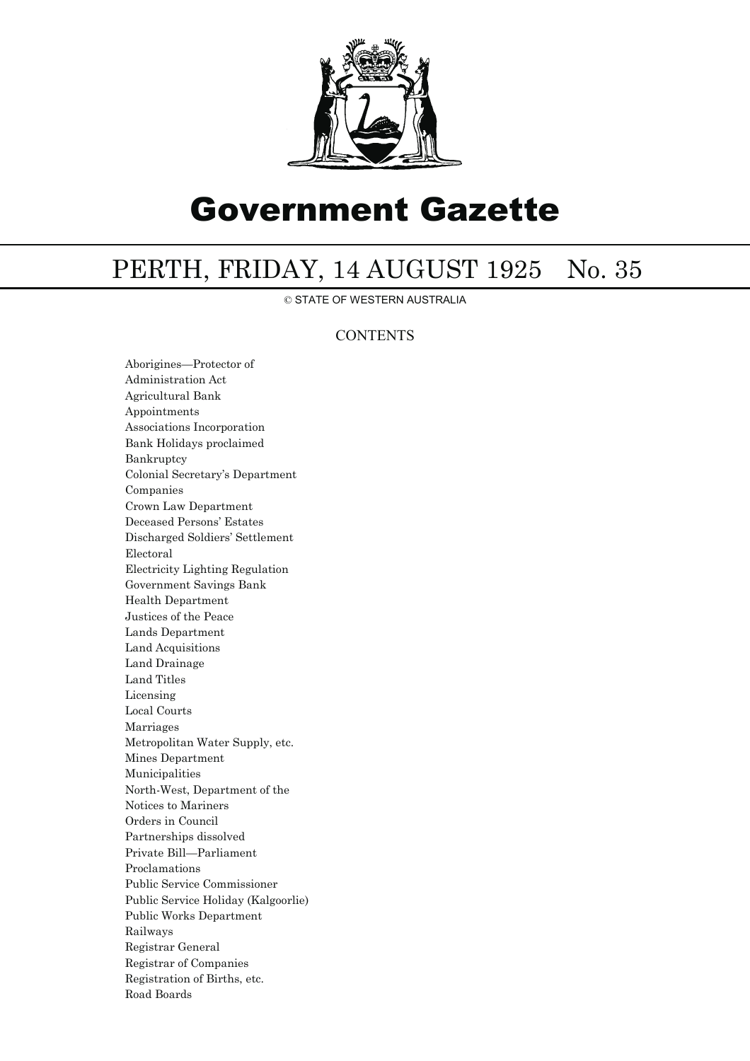

## Government Gazette

## PERTH, FRIDAY, 14 AUGUST 1925 No. 35

© STATE OF WESTERN AUSTRALIA

## **CONTENTS**

Aborigines—Protector of Administration Act Agricultural Bank Appointments Associations Incorporation Bank Holidays proclaimed Bankruptcy Colonial Secretary's Department Companies Crown Law Department Deceased Persons' Estates Discharged Soldiers' Settlement Electoral Electricity Lighting Regulation Government Savings Bank Health Department Justices of the Peace Lands Department Land Acquisitions Land Drainage Land Titles Licensing Local Courts Marriages Metropolitan Water Supply, etc. Mines Department Municipalities North-West, Department of the Notices to Mariners Orders in Council Partnerships dissolved Private Bill—Parliament Proclamations Public Service Commissioner Public Service Holiday (Kalgoorlie) Public Works Department Railways Registrar General Registrar of Companies Registration of Births, etc. Road Boards